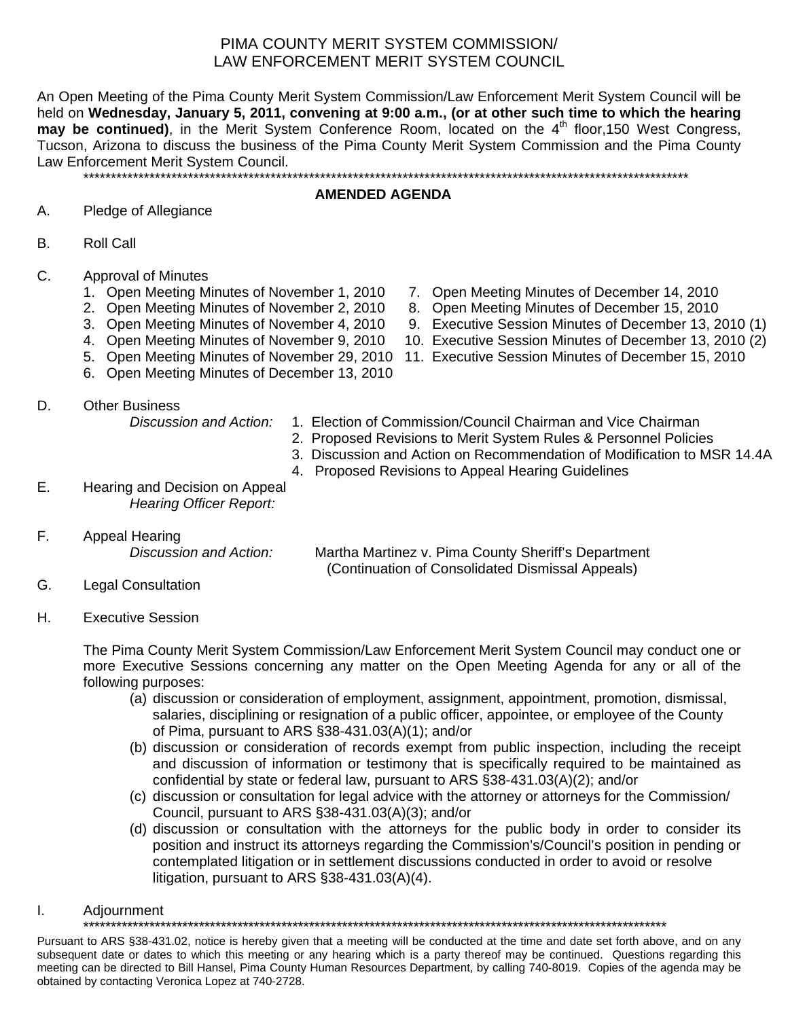# PIMA COUNTY MERIT SYSTEM COMMISSION/ LAW ENFORCEMENT MERIT SYSTEM COUNCIL

An Open Meeting of the Pima County Merit System Commission/Law Enforcement Merit System Council will be held on **Wednesday, January 5, 2011, convening at 9:00 a.m., (or at other such time to which the hearing**  may be continued), in the Merit System Conference Room, located on the 4<sup>th</sup> floor, 150 West Congress, Tucson, Arizona to discuss the business of the Pima County Merit System Commission and the Pima County Law Enforcement Merit System Council.

\*\*\*\*\*\*\*\*\*\*\*\*\*\*\*\*\*\*\*\*\*\*\*\*\*\*\*\*\*\*\*\*\*\*\*\*\*\*\*\*\*\*\*\*\*\*\*\*\*\*\*\*\*\*\*\*\*\*\*\*\*\*\*\*\*\*\*\*\*\*\*\*\*\*\*\*\*\*\*\*\*\*\*\*\*\*\*\*\*\*\*\*\*\*\*\*\*\*\*\*\*\*\*\*\*\*\*\*\*\*

#### **AMENDED AGENDA**

## A. Pledge of Allegiance

- B. Roll Call
- C. Approval of Minutes
	- 1. Open Meeting Minutes of November 1, 2010 7. Open Meeting Minutes of December 14, 2010
	- 2. Open Meeting Minutes of November 2, 2010 8. Open Meeting Minutes of December 15, 2010
	-
	-
	-
	- 6. Open Meeting Minutes of December 13, 2010
- D. Other Business

- 
- 3. Open Meeting Minutes of November 4, 2010 9. Executive Session Minutes of December 13, 2010 (1)
- 4. Open Meeting Minutes of November 9, 2010 10. Executive Session Minutes of December 13, 2010 (2)
- 5. Open Meeting Minutes of November 29, 2010 11. Executive Session Minutes of December 15, 2010
	- *Discussion and Action:* 1. Election of Commission/Council Chairman and Vice Chairman
		- 2. Proposed Revisions to Merit System Rules & Personnel Policies
		- 3. Discussion and Action on Recommendation of Modification to MSR 14.4A
			- 4. Proposed Revisions to Appeal Hearing Guidelines
- E. Hearing and Decision on Appeal *Hearing Officer Report:*
- F. Appeal Hearing

*Discussion and Action:* Martha Martinez v. Pima County Sheriff's Department (Continuation of Consolidated Dismissal Appeals)

- G. Legal Consultation
- H. Executive Session

The Pima County Merit System Commission/Law Enforcement Merit System Council may conduct one or more Executive Sessions concerning any matter on the Open Meeting Agenda for any or all of the following purposes:

- (a) discussion or consideration of employment, assignment, appointment, promotion, dismissal, salaries, disciplining or resignation of a public officer, appointee, or employee of the County of Pima, pursuant to ARS §38-431.03(A)(1); and/or
- (b) discussion or consideration of records exempt from public inspection, including the receipt and discussion of information or testimony that is specifically required to be maintained as confidential by state or federal law, pursuant to ARS §38-431.03(A)(2); and/or
- (c) discussion or consultation for legal advice with the attorney or attorneys for the Commission/ Council, pursuant to ARS §38-431.03(A)(3); and/or
- (d) discussion or consultation with the attorneys for the public body in order to consider its position and instruct its attorneys regarding the Commission's/Council's position in pending or contemplated litigation or in settlement discussions conducted in order to avoid or resolve litigation, pursuant to ARS §38-431.03(A)(4).
- I. Adjournment

\*\*\*\*\*\*\*\*\*\*\*\*\*\*\*\*\*\*\*\*\*\*\*\*\*\*\*\*\*\*\*\*\*\*\*\*\*\*\*\*\*\*\*\*\*\*\*\*\*\*\*\*\*\*\*\*\*\*\*\*\*\*\*\*\*\*\*\*\*\*\*\*\*\*\*\*\*\*\*\*\*\*\*\*\*\*\*\*\*\*\*\*\*\*\*\*\*\*\*\*\*\*\*\*\*\*

Pursuant to ARS §38-431.02, notice is hereby given that a meeting will be conducted at the time and date set forth above, and on any subsequent date or dates to which this meeting or any hearing which is a party thereof may be continued. Questions regarding this meeting can be directed to Bill Hansel, Pima County Human Resources Department, by calling 740-8019. Copies of the agenda may be obtained by contacting Veronica Lopez at 740-2728.